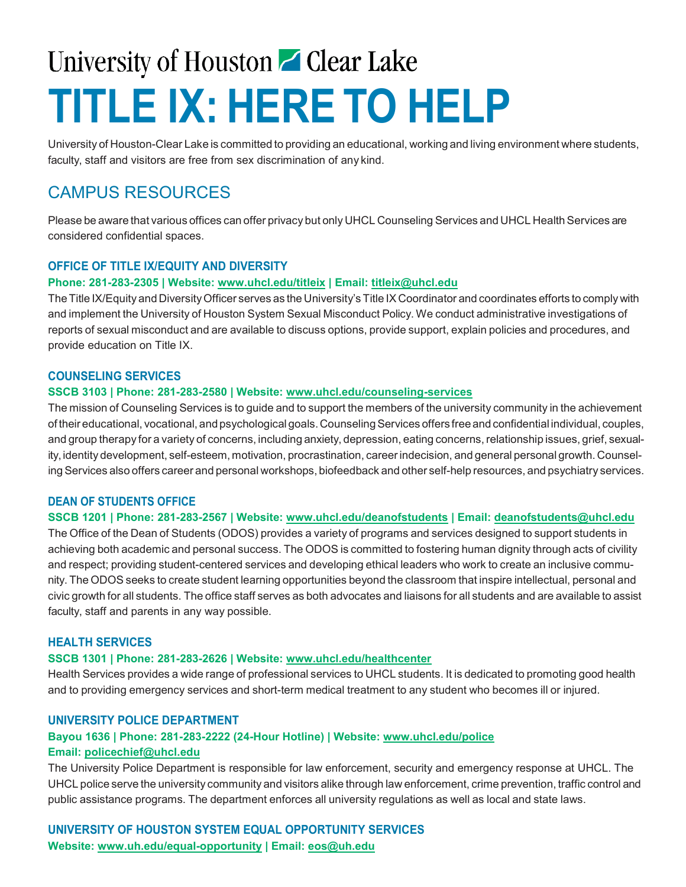# University of Houston **Clear Lake TITLE IX: HERE TO HELP**

University of Houston-Clear Lake is committed to providing an educational, working and living environment where students, faculty, staff and visitors are free from sex discrimination of any kind.

### CAMPUS RESOURCES

Please be aware that various offices can offer privacy but only UHCL Counseling Services and UHCL Health Services are considered confidential spaces.

#### **OFFICE OF TITLE IX/EQUITY AND DIVERSITY**

#### **Phone: 281-283-2305 | Website: [www.uhcl.edu/titleix](http://www.uhcl.edu/titleix) | Email: [titleix@uhcl.edu](mailto:titleix@uhcl.edu)**

TheTitle IX/Equity and DiversityOfficer serves as the University's Title IX Coordinator and coordinates efforts to complywith and implement the University of Houston System Sexual Misconduct Policy. We conduct administrative investigations of reports of sexual misconduct and are available to discuss options, provide support, explain policies and procedures, and provide education on Title IX.

#### **COUNSELING SERVICES**

#### **SSCB 3103 | Phone: 281-283-2580 | Website: [www.uhcl.edu/counseling-services](http://www.uhcl.edu/counseling-services)**

The mission of Counseling Services is to guide and to support the members of the university community in the achievement of their educational, vocational, and psychological goals.CounselingServices offers free and confidential individual, couples, and group therapy for a variety of concerns, including anxiety, depression, eating concerns, relationship issues, grief, sexuality, identity development, self-esteem, motivation, procrastination, career indecision, and general personal growth. Counseling Services also offers career and personal workshops, biofeedback and other self-help resources, and psychiatry services.

#### **DEAN OF STUDENTS OFFICE**

#### **SSCB 1201 | Phone: 281-283-2567 | Website: [www.uhcl.edu/deanofstudents](http://www.uhcl.edu/deanofstudents) | Email: [deanofstudents@uhcl.edu](mailto:deanofstudents@uhcl.edu)**

The Office of the Dean of Students (ODOS) provides a variety of programs and services designed to support students in achieving both academic and personal success. The ODOS is committed to fostering human dignity through acts of civility and respect; providing student-centered services and developing ethical leaders who work to create an inclusive community. The ODOS seeks to create student learning opportunities beyond the classroom that inspire intellectual, personal and civic growth for all students. The office staff serves as both advocates and liaisons for all students and are available to assist faculty, staff and parents in any way possible.

#### **HEALTH SERVICES**

#### **SSCB 1301 | Phone: 281-283-2626 | Website: [www.uhcl.edu/healthcenter](http://www.uhcl.edu/healthcenter)**

Health Services provides a wide range of professional services to UHCL students. It is dedicated to promoting good health and to providing emergency services and short-term medical treatment to any student who becomes ill or injured.

#### **UNIVERSITY POLICE DEPARTMENT**

#### **Bayou 1636 | Phone: 281-283-2222 (24-Hour Hotline) | Website: [www.uhcl.edu/police](http://www.uhcl.edu/police) Email: [policechief@uhcl.edu](mailto:policechief@uhcl.edu)**

The University Police Department is responsible for law enforcement, security and emergency response at UHCL. The UHCL police serve the university community and visitors alike through law enforcement, crime prevention, traffic control and public assistance programs. The department enforces all university regulations as well as local and state laws.

**UNIVERSITY OF HOUSTON SYSTEM EQUAL OPPORTUNITY SERVICES Website: [www.uh.edu/equal-opportunity](http://www.uh.edu/equal-opportunity) | Email: [eos@uh.edu](mailto:eos@uh.edu)**